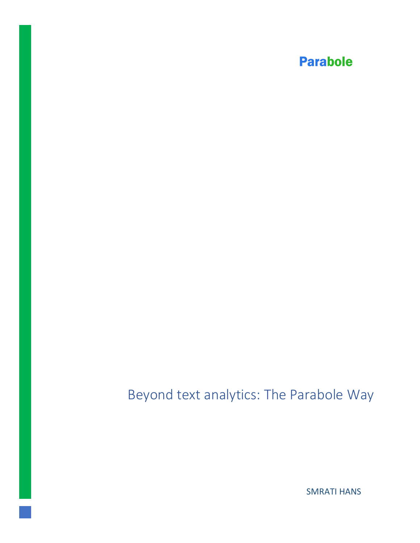# Beyond text analytics: The Parabole Way

**SMRATI HANS**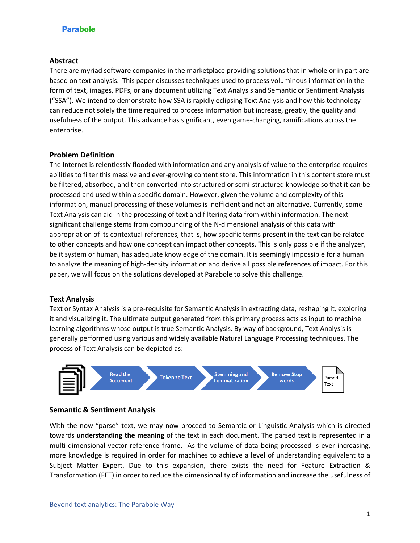#### **Abstract**

There are myriad software companies in the marketplace providing solutions that in whole or in part are based on text analysis. This paper discusses techniques used to process voluminous information in the form of text, images, PDFs, or any document utilizing Text Analysis and Semantic or Sentiment Analysis ("SSA"). We intend to demonstrate how SSA is rapidly eclipsing Text Analysis and how this technology can reduce not solely the time required to process information but increase, greatly, the quality and usefulness of the output. This advance has significant, even game-changing, ramifications across the enterprise.

#### **Problem Definition**

The Internet is relentlessly flooded with information and any analysis of value to the enterprise requires abilities to filter this massive and ever-growing content store. This information in this content store must be filtered, absorbed, and then converted into structured or semi-structured knowledge so that it can be processed and used within a specific domain. However, given the volume and complexity of this information, manual processing of these volumes is inefficient and not an alternative. Currently, some Text Analysis can aid in the processing of text and filtering data from within information. The next significant challenge stems from compounding of the N-dimensional analysis of this data with appropriation of its contextual references, that is, how specific terms present in the text can be related to other concepts and how one concept can impact other concepts. This is only possible if the analyzer, be it system or human, has adequate knowledge of the domain. It is seemingly impossible for a human to analyze the meaning of high-density information and derive all possible references of impact. For this paper, we will focus on the solutions developed at Parabole to solve this challenge.

#### **Text Analysis**

Text or Syntax Analysis is a pre-requisite for Semantic Analysis in extracting data, reshaping it, exploring it and visualizing it. The ultimate output generated from this primary process acts as input to machine learning algorithms whose output is true Semantic Analysis. By way of background, Text Analysis is generally performed using various and widely available Natural Language Processing techniques. The process of Text Analysis can be depicted as:



#### **Semantic & Sentiment Analysis**

With the now "parse" text, we may now proceed to Semantic or Linguistic Analysis which is directed towards **understanding the meaning** of the text in each document. The parsed text is represented in a multi-dimensional vector reference frame. As the volume of data being processed is ever-increasing, more knowledge is required in order for machines to achieve a level of understanding equivalent to a Subject Matter Expert. Due to this expansion, there exists the need for Feature Extraction & Transformation (FET) in order to reduce the dimensionality of information and increase the usefulness of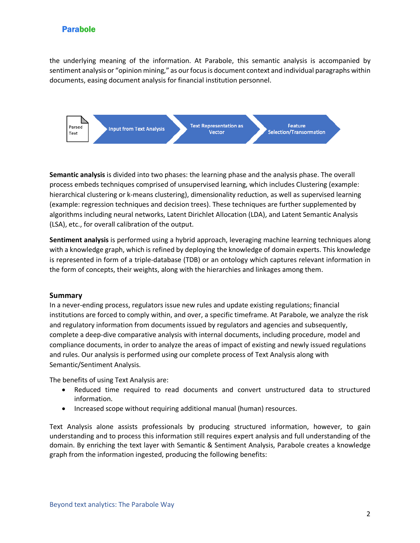the underlying meaning of the information. At Parabole, this semantic analysis is accompanied by sentiment analysis or "opinion mining," as our focus is document context and individual paragraphs within documents, easing document analysis for financial institution personnel.

Parsed Text

**Input from Text Analysis** 

**Text Representation as Vector** 

**Feature** Selection/Transormation

**Semantic analysis** is divided into two phases: the learning phase and the analysis phase. The overall process embeds techniques comprised of unsupervised learning, which includes Clustering (example: hierarchical clustering or k-means clustering), dimensionality reduction, as well as supervised learning (example: regression techniques and decision trees). These techniques are further supplemented by algorithms including neural networks, Latent Dirichlet Allocation (LDA), and Latent Semantic Analysis (LSA), etc., for overall calibration of the output.

**Sentiment analysis** is performed using a hybrid approach, leveraging machine learning techniques along with a knowledge graph, which is refined by deploying the knowledge of domain experts. This knowledge is represented in form of a triple-database (TDB) or an ontology which captures relevant information in the form of concepts, their weights, along with the hierarchies and linkages among them.

#### **Summary**

In a never-ending process, regulators issue new rules and update existing regulations; financial institutions are forced to comply within, and over, a specific timeframe. At Parabole, we analyze the risk and regulatory information from documents issued by regulators and agencies and subsequently, complete a deep-dive comparative analysis with internal documents, including procedure, model and compliance documents, in order to analyze the areas of impact of existing and newly issued regulations and rules. Our analysis is performed using our complete process of Text Analysis along with Semantic/Sentiment Analysis.

The benefits of using Text Analysis are:

- Reduced time required to read documents and convert unstructured data to structured information.
- Increased scope without requiring additional manual (human) resources.

Text Analysis alone assists professionals by producing structured information, however, to gain understanding and to process this information still requires expert analysis and full understanding of the domain. By enriching the text layer with Semantic & Sentiment Analysis, Parabole creates a knowledge graph from the information ingested, producing the following benefits: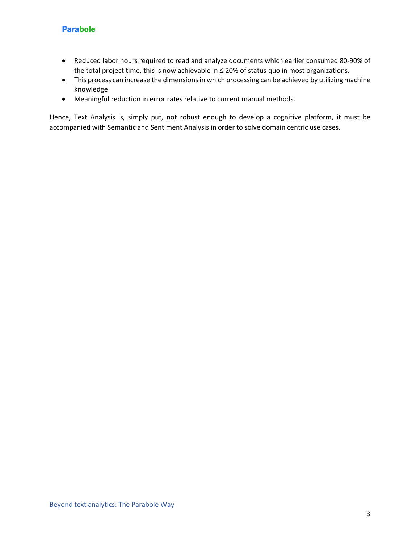- Reduced labor hours required to read and analyze documents which earlier consumed 80-90% of the total project time, this is now achievable in  $\leq$  20% of status quo in most organizations.
- This process can increase the dimensions in which processing can be achieved by utilizing machine knowledge
- Meaningful reduction in error rates relative to current manual methods.

Hence, Text Analysis is, simply put, not robust enough to develop a cognitive platform, it must be accompanied with Semantic and Sentiment Analysis in order to solve domain centric use cases.